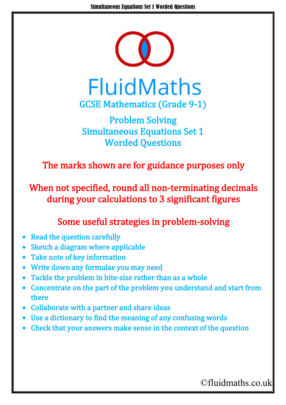

**FluidMaths** GCSE Mathematics (Grade 9-1)

Problem Solving Simultaneous Equations Set 1 Worded Questions

The marks shown are for guidance purposes only

When not specified, round all non-terminating decimals during your calculations to 3 significant figures

## Some useful strategies in problem-solving

- Read the question carefully
- Sketch a diagram where applicable
- Take note of key information
- Write down any formulae you may need
- Tackle the problem in bite-size rather than as a whole
- Concentrate on the part of the problem you understand and start from there
- Collaborate with a partner and share ideas
- Use a dictionary to find the meaning of any confusing words
- Check that your answers make sense in the context of the question

©fluidmaths.co.uk